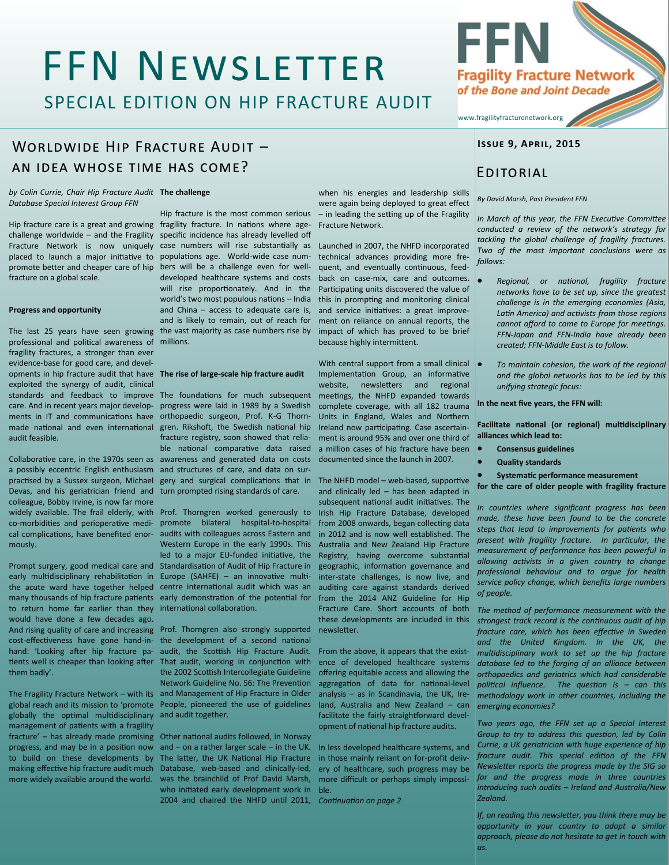# FFN Newsletter

SPECIAL EDITION ON HIP FRACTURE AUDIT

## WORLDWIDE HIP FRACTURE AUDIT an idea whose time has come?

*by Colin Currie, Chair Hip Fracture Audit*  **The challenge** *Database Special Interest Group FFN*

placed to launch a major initiative to promote better and cheaper care of hip fracture on a global scale.

#### **Progress and opportunity**

professional and political awareness of millions. fragility fractures, a stronger than ever evidence-base for good care, and developments in hip fracture audit that have **The rise of large-scale hip fracture audit** exploited the synergy of audit, clinical made national and even international audit feasible.

practised by a Sussex surgeon, Michael Devas, and his geriatrician friend and colleague, Bobby Irvine, is now far more cal complications, have benefited enormously.

to return home far earlier than they internatonal collaboraton. would have done a few decades ago. them badly'.

The Fragility Fracture Network – with its globally the optmal multdisciplinary management of patients with a fragility more widely available around the world.

Hip fracture care is a great and growing fragility fracture. In nations where agechallenge worldwide - and the Fragility specific incidence has already levelled off Fracture Network is now uniquely case numbers will rise substantially as Launched in 2007, the NHFD incorporated The last 25 years have seen growing the vast majority as case numbers rise by Hip fracture is the most common serious populations age. World-wide case numbers will be a challenge even for welldeveloped healthcare systems and costs will rise proportionately. And in the world's two most populous nations - India and China – access to adequate care is, and is likely to remain, out of reach for

standards and feedback to improve The foundatons for much subsequent care. And in recent years major develop-progress were laid in 1989 by a Swedish ments in IT and communications have orthopaedic surgeon, Prof. K-G Thorn-Collaborative care, in the 1970s seen as awareness and generated data on costs a possibly eccentric English enthusiasm and structures of care, and data on surgren. Rikshoft, the Swedish national hip fracture registry, soon showed that reliable national comparative data raised gery and surgical complications that in The NHFD model - web-based, supportive turn prompted rising standards of care.

widely available. The frail elderly, with Prof. Thorngren worked generously to co-morbidites and perioperatve medi-promote bilateral hospital-to-hospital Prompt surgery, good medical care and Standardisaton of Audit of Hip Fracture in early multidisciplinary rehabilitation in Europe (SAHFE) - an innovative multithe acute ward have together helped centre internatonal audit which was an many thousands of hip fracture patients early demonstration of the potential for audits with colleagues across Eastern and Western Europe in the early 1990s. This led to a major EU-funded initiative, the

And rising quality of care and increasing Prof. Thorngren also strongly supported cost-effectiveness have gone hand-in- the development of a second national hand: 'Looking after hip fracture pa- audit, the Scottish Hip Fracture Audit. tients well is cheaper than looking after That audit, working in conjunction with global reach and its mission to 'promote People, pioneered the use of guidelines the 2002 Scottish Intercollegiate Guideline Network Guideline No. 56: The Preventon and Management of Hip Fracture in Older and audit together.

fracture' - has already made promising Other national audits followed, in Norway progress, and may be in a position now and - on a rather larger scale - in the UK. to build on these developments by The latter, the UK National Hip Fracture making effective hip fracture audit much Database, web-based and clinically-led, was the brainchild of Prof David Marsh, who initated early development work in 2004 and chaired the NHFD untl 2011, *Contnuaton on page 2*

when his energies and leadership skills were again being deployed to great effect – in leading the setting up of the Fragility Fracture Network.

technical advances providing more frequent, and eventually continuous, feedback on case-mix, care and outcomes. Participating units discovered the value of this in prompting and monitoring clinical and service initiatives: a great improvement on reliance on annual reports, the impact of which has proved to be brief because highly intermittent.

With central support from a small clinical Implementation Group, an informative website. newsletters and regional meetngs, the NHFD expanded towards complete coverage, with all 182 trauma Units in England, Wales and Northern Ireland now participating. Case ascertainment is around 95% and over one third of a million cases of hip fracture have been documented since the launch in 2007.

and clinically led – has been adapted in subsequent national audit initiatives. The Irish Hip Fracture Database, developed from 2008 onwards, began collecting data in 2012 and is now well established. The Australia and New Zealand Hip Fracture Registry, having overcome substantal geographic, information governance and inter-state challenges, is now live, and auditng care against standards derived from the 2014 ANZ Guideline for Hip Fracture Care. Short accounts of both these developments are included in this newsletter.

From the above, it appears that the existence of developed healthcare systems ofering equitable access and allowing the aggregaton of data for natonal-level analysis – as in Scandinavia, the UK, Ireland, Australia and New Zealand – can facilitate the fairly straightforward development of natonal hip fracture audits.

In less developed healthcare systems, and in those mainly reliant on for-proft delivery of healthcare, such progress may be more difficult or perhaps simply impossible.

**Issue 9, April, 2015**

**Fragility Fracture Network** of the Bone and Joint Decade

### Editorial

www.fragilityfracturenetwork.org

FFN

#### *By David Marsh, Past President FFN*

*In March of this year, the FFN Executve Commitee conducted a review of the network's strategy for tackling the global challenge of fragility fractures. Two of the most important conclusions were as follows:*

- x *Regional, or natonal, fragility fracture networks have to be set up, since the greatest challenge is in the emerging economies (Asia, Latn America) and actvists from those regions cannot aford to come to Europe for meetngs. FFN-Japan and FFN-India have already been created; FFN-Middle East is to follow.*
- x *To maintain cohesion, the work of the regional and the global networks has to be led by this unifying strategic focus:*

#### In the next five years, the FFN will:

Facilitate national (or regional) multidisciplinary **alliances which lead to:**

- x **Consensus guidelines**
- x **Quality standards**
- **Systematic performance measurement**

**for the care of older people with fragility fracture**

*In countries where signifcant progress has been made, these have been found to be the concrete steps that lead to improvements for patents who present with fragility fracture. In partcular, the measurement of performance has been powerful in allowing actvists in a given country to change professional behaviour and to argue for health service policy change, which benefts large numbers of people.*

*The method of performance measurement with the strongest track record is the contnuous audit of hip fracture care, which has been efectve in Sweden and the United Kingdom. In the UK, the multdisciplinary work to set up the hip fracture database led to the forging of an alliance between orthopaedics and geriatrics which had considerable politcal infuence. The queston is – can this methodology work in other countries, including the emerging economies?*

*Two years ago, the FFN set up a Special Interest Group to try to address this queston, led by Colin Currie, a UK geriatrician with huge experience of hip fracture audit. This special editon of the FFN Newsleter reports the progress made by the SIG so far and the progress made in three countries introducing such audits – Ireland and Australia/New Zealand.*

*If, on reading this newsletter, you think there may be opportunity in your country to adopt a similar approach, please do not hesitate to get in touch with us.*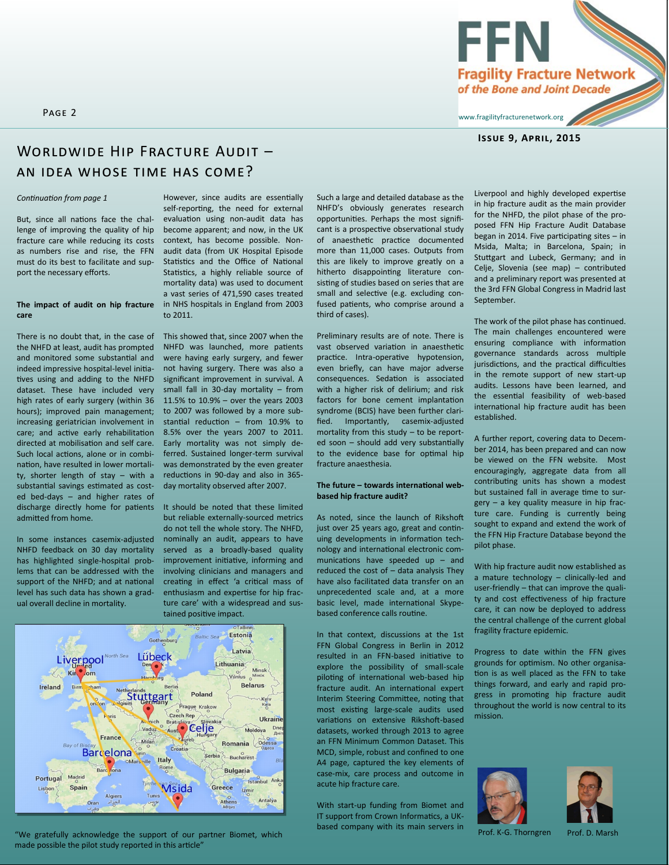

### **Issue 9, April, 2015**

### WORLDWIDE HIP FRACTURE AUDIT an idea whose time has come?

### *Contnuaton from page 1*

But, since all nations face the challenge of improving the quality of hip fracture care while reducing its costs as numbers rise and rise, the FFN must do its best to facilitate and support the necessary efforts.

### **The impact of audit on hip fracture care**

There is no doubt that, in the case of the NHFD at least, audit has prompted and monitored some substantal and indeed impressive hospital-level initatives using and adding to the NHFD dataset. These have included very high rates of early surgery (within 36 hours); improved pain management; increasing geriatrician involvement in care; and active early rehabilitation directed at mobilisation and self care. Such local actions, alone or in combination, have resulted in lower mortality, shorter length of stay – with a substantial savings estimated as costed bed-days – and higher rates of discharge directly home for patents admited from home.

In some instances casemix-adjusted NHFD feedback on 30 day mortality has highlighted single-hospital problems that can be addressed with the support of the NHFD; and at national level has such data has shown a gradual overall decline in mortality.

However, since audits are essentially self-reporting, the need for external evaluaton using non-audit data has become apparent; and now, in the UK context, has become possible. Nonaudit data (from UK Hospital Episode Statistics and the Office of National Statistics, a highly reliable source of mortality data) was used to document a vast series of 471,590 cases treated in NHS hospitals in England from 2003 to 2011.

This showed that, since 2007 when the NHFD was launched, more patients were having early surgery, and fewer not having surgery. There was also a significant improvement in survival. A small fall in 30-day mortality – from 11.5% to 10.9% – over the years 2003 to 2007 was followed by a more substantial reduction  $-$  from 10.9% to 8.5% over the years 2007 to 2011. Early mortality was not simply deferred. Sustained longer-term survival was demonstrated by the even greater reductions in 90-day and also in 365day mortality observed afer 2007.

It should be noted that these limited but reliable externally-sourced metrics do not tell the whole story. The NHFD, nominally an audit, appears to have served as a broadly-based quality improvement initiative, informing and involving clinicians and managers and creating in effect 'a critical mass of enthusiasm and expertse for hip fracture care' with a widespread and sustained positive impact.



"We gratefully acknowledge the support of our partner Biomet, which Prof. K-G. Thorngren Prof. D. Marsh made possible the pilot study reported in this article'

Such a large and detailed database as the NHFD's obviously generates research opportunites. Perhaps the most signifcant is a prospective observational study of anaesthetic practice documented more than 11,000 cases. Outputs from this are likely to improve greatly on a hitherto disappointing literature consisting of studies based on series that are small and selective (e.g. excluding confused patients, who comprise around a third of cases).

Preliminary results are of note. There is vast observed variation in anaesthetic practice. Intra-operative hypotension, even briefy, can have major adverse consequences. Sedaton is associated with a higher risk of delirium; and risk factors for bone cement implantation syndrome (BCIS) have been further clarified. Importantly, casemix-adjusted mortality from this study – to be reported soon – should add very substantally to the evidence base for optmal hip fracture anaesthesia.

### **The future – towards internatonal webbased hip fracture audit?**

As noted, since the launch of Rikshoft just over 25 years ago, great and contnuing developments in information technology and internatonal electronic communications have speeded up  $-$  and reduced the cost of – data analysis They have also facilitated data transfer on an unprecedented scale and, at a more basic level, made international Skypebased conference calls routne.

In that context, discussions at the 1st FFN Global Congress in Berlin in 2012 resulted in an FFN-based initatve to explore the possibility of small-scale piloting of international web-based hip fracture audit. An international expert Interim Steering Committee, noting that most existing large-scale audits used variations on extensive Rikshoft-based datasets, worked through 2013 to agree an FFN Minimum Common Dataset. This MCD, simple, robust and confned to one A4 page, captured the key elements of case-mix, care process and outcome in acute hip fracture care.

With start-up funding from Biomet and IT support from Crown Informatics, a UKbased company with its main servers in

Liverpool and highly developed expertise in hip fracture audit as the main provider for the NHFD, the pilot phase of the proposed FFN Hip Fracture Audit Database began in 2014. Five participating sites  $-$  in Msida, Malta; in Barcelona, Spain; in Stutgart and Lubeck, Germany; and in Celje, Slovenia (see map) – contributed and a preliminary report was presented at the 3rd FFN Global Congress in Madrid last September.

The work of the pilot phase has continued. The main challenges encountered were ensuring compliance with information governance standards across multiple jurisdictions, and the practical difficulties in the remote support of new start-up audits. Lessons have been learned, and the essental feasibility of web-based international hip fracture audit has been established.

A further report, covering data to December 2014, has been prepared and can now be viewed on the FFN website. Most encouragingly, aggregate data from all contributing units has shown a modest but sustained fall in average time to surgery – a key quality measure in hip fracture care. Funding is currently being sought to expand and extend the work of the FFN Hip Fracture Database beyond the pilot phase.

With hip fracture audit now established as a mature technology – clinically-led and user-friendly – that can improve the quality and cost effectiveness of hip fracture care, it can now be deployed to address the central challenge of the current global fragility fracture epidemic.

Progress to date within the FFN gives grounds for optmism. No other organisaton is as well placed as the FFN to take things forward, and early and rapid progress in promoting hip fracture audit throughout the world is now central to its mission.



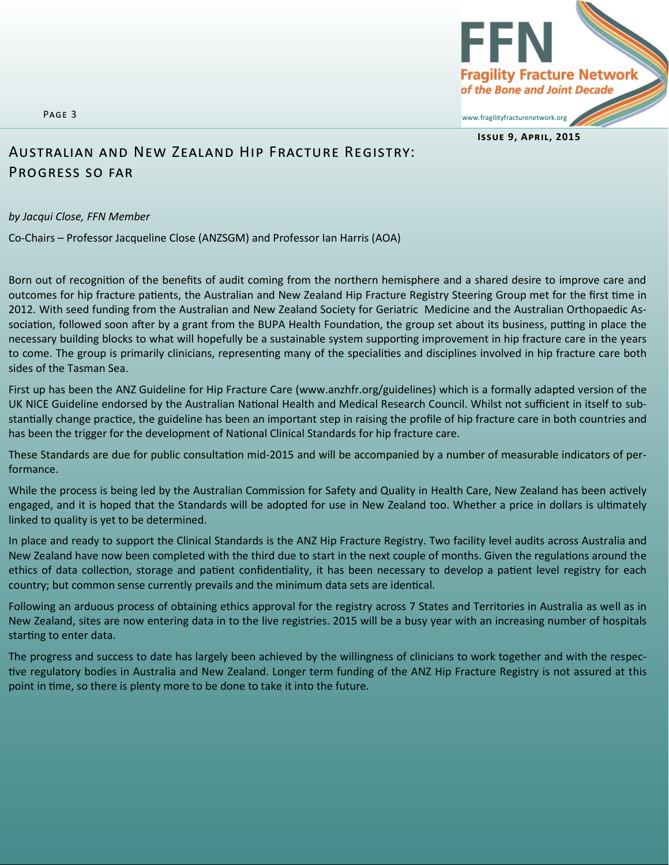Page 3

**Fragility Fracture Network** of the Bone and Joint Decade www.fragilityfracturenetwork.org

**Issue 9, April, 2015**

### Australian and New Zealand Hip Fracture Registry: Progress so far

### *by Jacqui Close, FFN Member*

Co-Chairs – Professor Jacqueline Close (ANZSGM) and Professor Ian Harris (AOA)

Born out of recognition of the benefits of audit coming from the northern hemisphere and a shared desire to improve care and outcomes for hip fracture patients, the Australian and New Zealand Hip Fracture Registry Steering Group met for the first time in 2012. With seed funding from the Australian and New Zealand Society for Geriatric Medicine and the Australian Orthopaedic Association, followed soon after by a grant from the BUPA Health Foundation, the group set about its business, putting in place the necessary building blocks to what will hopefully be a sustainable system supporting improvement in hip fracture care in the years to come. The group is primarily clinicians, representing many of the specialities and disciplines involved in hip fracture care both sides of the Tasman Sea.

First up has been the ANZ Guideline for Hip Fracture Care (www.anzhfr.org/guidelines) which is a formally adapted version of the UK NICE Guideline endorsed by the Australian National Health and Medical Research Council. Whilst not sufficient in itself to substantially change practice, the guideline has been an important step in raising the profile of hip fracture care in both countries and has been the trigger for the development of National Clinical Standards for hip fracture care.

These Standards are due for public consultation mid-2015 and will be accompanied by a number of measurable indicators of performance.

While the process is being led by the Australian Commission for Safety and Quality in Health Care, New Zealand has been actvely engaged, and it is hoped that the Standards will be adopted for use in New Zealand too. Whether a price in dollars is ultmately linked to quality is yet to be determined.

In place and ready to support the Clinical Standards is the ANZ Hip Fracture Registry. Two facility level audits across Australia and New Zealand have now been completed with the third due to start in the next couple of months. Given the regulatons around the ethics of data collection, storage and patient confidentiality, it has been necessary to develop a patient level registry for each country; but common sense currently prevails and the minimum data sets are identcal.

Following an arduous process of obtaining ethics approval for the registry across 7 States and Territories in Australia as well as in New Zealand, sites are now entering data in to the live registries. 2015 will be a busy year with an increasing number of hospitals starting to enter data.

The progress and success to date has largely been achieved by the willingness of clinicians to work together and with the respective regulatory bodies in Australia and New Zealand. Longer term funding of the ANZ Hip Fracture Registry is not assured at this point in tme, so there is plenty more to be done to take it into the future.